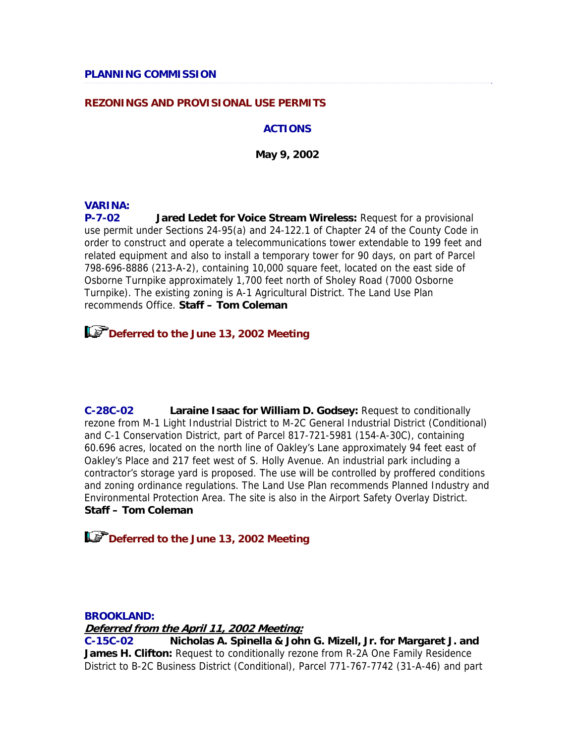#### **REZONINGS AND PROVISIONAL USE PERMITS**

#### **ACTIONS**

**May 9, 2002** 

#### **VARINA:**

**P-7-02 Jared Ledet for Voice Stream Wireless:** Request for a provisional use permit under Sections 24-95(a) and 24-122.1 of Chapter 24 of the County Code in order to construct and operate a telecommunications tower extendable to 199 feet and related equipment and also to install a temporary tower for 90 days, on part of Parcel 798-696-8886 (213-A-2), containing 10,000 square feet, located on the east side of Osborne Turnpike approximately 1,700 feet north of Sholey Road (7000 Osborne Turnpike). The existing zoning is A-1 Agricultural District. The Land Use Plan recommends Office. **Staff – Tom Coleman**

**Deferred to the June 13, 2002 Meeting** 

**C-28C-02 Laraine Isaac for William D. Godsey:** Request to conditionally rezone from M-1 Light Industrial District to M-2C General Industrial District (Conditional) and C-1 Conservation District, part of Parcel 817-721-5981 (154-A-30C), containing 60.696 acres, located on the north line of Oakley's Lane approximately 94 feet east of Oakley's Place and 217 feet west of S. Holly Avenue. An industrial park including a contractor's storage yard is proposed. The use will be controlled by proffered conditions and zoning ordinance regulations. The Land Use Plan recommends Planned Industry and Environmental Protection Area. The site is also in the Airport Safety Overlay District. **Staff – Tom Coleman**

**Deferred to the June 13, 2002 Meeting**

#### **BROOKLAND:**

**Deferred from the April 11, 2002 Meeting:**

**C-15C-02 Nicholas A. Spinella & John G. Mizell, Jr. for Margaret J. and James H. Clifton:** Request to conditionally rezone from R-2A One Family Residence District to B-2C Business District (Conditional), Parcel 771-767-7742 (31-A-46) and part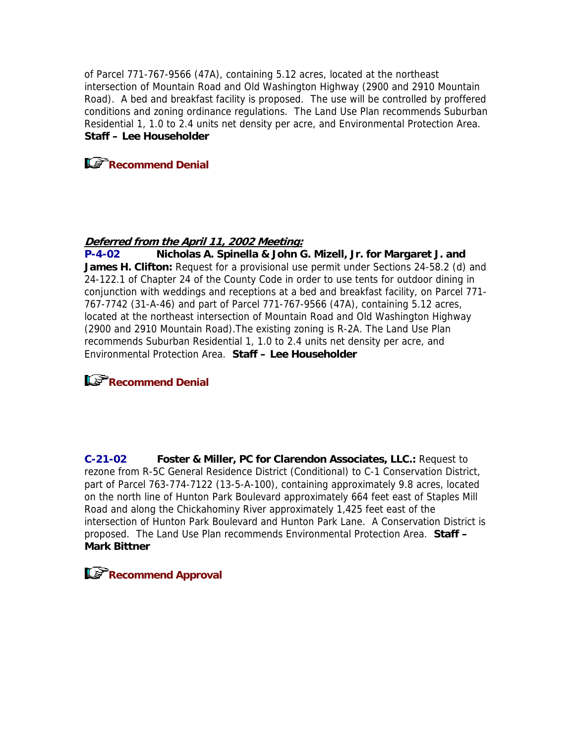of Parcel 771-767-9566 (47A), containing 5.12 acres, located at the northeast intersection of Mountain Road and Old Washington Highway (2900 and 2910 Mountain Road). A bed and breakfast facility is proposed. The use will be controlled by proffered conditions and zoning ordinance regulations. The Land Use Plan recommends Suburban Residential 1, 1.0 to 2.4 units net density per acre, and Environmental Protection Area. **Staff – Lee Householder**



## **Deferred from the April 11, 2002 Meeting:**

**P-4-02 Nicholas A. Spinella & John G. Mizell, Jr. for Margaret J. and James H. Clifton:** Request for a provisional use permit under Sections 24-58.2 (d) and 24-122.1 of Chapter 24 of the County Code in order to use tents for outdoor dining in conjunction with weddings and receptions at a bed and breakfast facility, on Parcel 771- 767-7742 (31-A-46) and part of Parcel 771-767-9566 (47A), containing 5.12 acres, located at the northeast intersection of Mountain Road and Old Washington Highway (2900 and 2910 Mountain Road).The existing zoning is R-2A. The Land Use Plan recommends Suburban Residential 1, 1.0 to 2.4 units net density per acre, and Environmental Protection Area. **Staff – Lee Householder**

# **Recommend Denial**

**C-21-02 Foster & Miller, PC for Clarendon Associates, LLC.:** Request to rezone from R-5C General Residence District (Conditional) to C-1 Conservation District, part of Parcel 763-774-7122 (13-5-A-100), containing approximately 9.8 acres, located on the north line of Hunton Park Boulevard approximately 664 feet east of Staples Mill Road and along the Chickahominy River approximately 1,425 feet east of the intersection of Hunton Park Boulevard and Hunton Park Lane. A Conservation District is proposed. The Land Use Plan recommends Environmental Protection Area. **Staff – Mark Bittner**

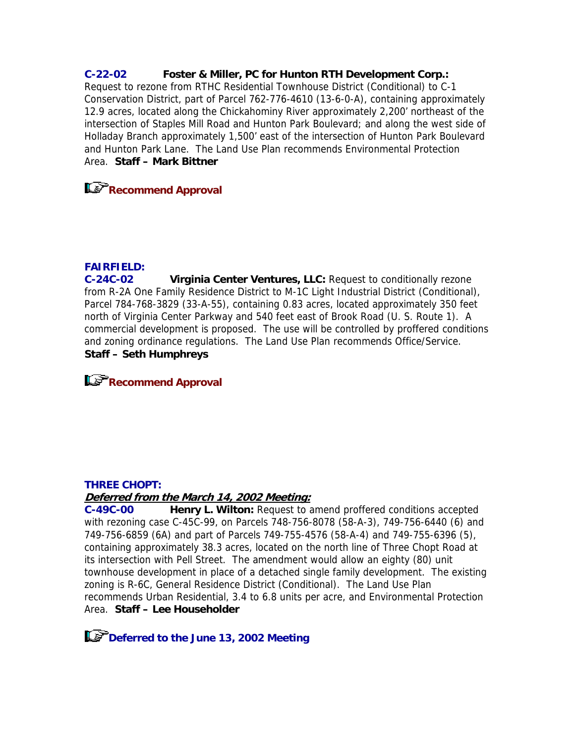## **C-22-02 Foster & Miller, PC for Hunton RTH Development Corp.:**

Request to rezone from RTHC Residential Townhouse District (Conditional) to C-1 Conservation District, part of Parcel 762-776-4610 (13-6-0-A), containing approximately 12.9 acres, located along the Chickahominy River approximately 2,200' northeast of the intersection of Staples Mill Road and Hunton Park Boulevard; and along the west side of Holladay Branch approximately 1,500' east of the intersection of Hunton Park Boulevard and Hunton Park Lane. The Land Use Plan recommends Environmental Protection Area. **Staff – Mark Bittner**

**Recommend Approval** 

### **FAIRFIELD:**

**C-24C-02 Virginia Center Ventures, LLC:** Request to conditionally rezone from R-2A One Family Residence District to M-1C Light Industrial District (Conditional), Parcel 784-768-3829 (33-A-55), containing 0.83 acres, located approximately 350 feet north of Virginia Center Parkway and 540 feet east of Brook Road (U. S. Route 1). A commercial development is proposed. The use will be controlled by proffered conditions and zoning ordinance regulations. The Land Use Plan recommends Office/Service. **Staff – Seth Humphreys**

## **Recommend Approval**

### **THREE CHOPT:**

## **Deferred from the March 14, 2002 Meeting:**

**C-49C-00 Henry L. Wilton:** Request to amend proffered conditions accepted with rezoning case C-45C-99, on Parcels 748-756-8078 (58-A-3), 749-756-6440 (6) and 749-756-6859 (6A) and part of Parcels 749-755-4576 (58-A-4) and 749-755-6396 (5), containing approximately 38.3 acres, located on the north line of Three Chopt Road at its intersection with Pell Street. The amendment would allow an eighty (80) unit townhouse development in place of a detached single family development. The existing zoning is R-6C, General Residence District (Conditional). The Land Use Plan recommends Urban Residential, 3.4 to 6.8 units per acre, and Environmental Protection Area. **Staff – Lee Householder**

**Deferred to the June 13, 2002 Meeting**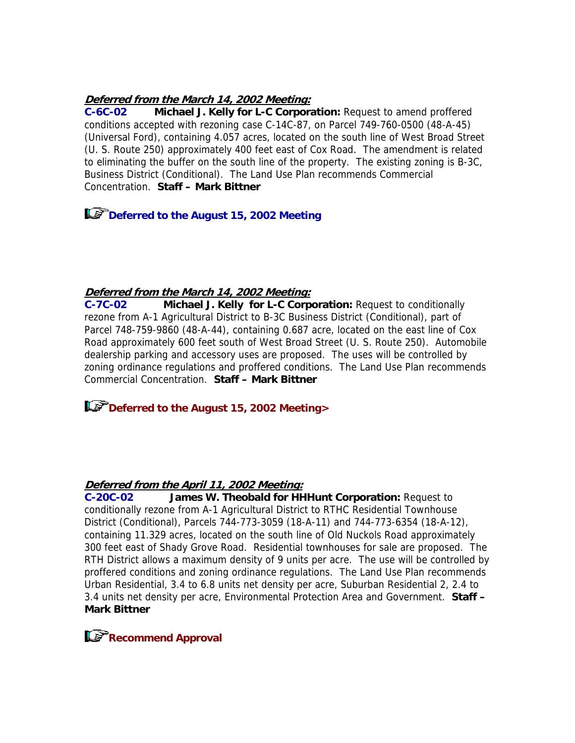### **Deferred from the March 14, 2002 Meeting:**

**C-6C-02 Michael J. Kelly for L-C Corporation:** Request to amend proffered conditions accepted with rezoning case C-14C-87, on Parcel 749-760-0500 (48-A-45) (Universal Ford), containing 4.057 acres, located on the south line of West Broad Street (U. S. Route 250) approximately 400 feet east of Cox Road. The amendment is related to eliminating the buffer on the south line of the property. The existing zoning is B-3C, Business District (Conditional). The Land Use Plan recommends Commercial Concentration. **Staff – Mark Bittner**

**Deferred to the August 15, 2002 Meeting**

### **Deferred from the March 14, 2002 Meeting:**

**C-7C-02 Michael J. Kelly for L-C Corporation:** Request to conditionally rezone from A-1 Agricultural District to B-3C Business District (Conditional), part of Parcel 748-759-9860 (48-A-44), containing 0.687 acre, located on the east line of Cox Road approximately 600 feet south of West Broad Street (U. S. Route 250). Automobile dealership parking and accessory uses are proposed. The uses will be controlled by zoning ordinance regulations and proffered conditions. The Land Use Plan recommends Commercial Concentration. **Staff – Mark Bittner**

**Deferred to the August 15, 2002 Meeting>**

## **Deferred from the April 11, 2002 Meeting:**

**C-20C-02 James W. Theobald for HHHunt Corporation:** Request to conditionally rezone from A-1 Agricultural District to RTHC Residential Townhouse District (Conditional), Parcels 744-773-3059 (18-A-11) and 744-773-6354 (18-A-12), containing 11.329 acres, located on the south line of Old Nuckols Road approximately 300 feet east of Shady Grove Road. Residential townhouses for sale are proposed. The RTH District allows a maximum density of 9 units per acre. The use will be controlled by proffered conditions and zoning ordinance regulations. The Land Use Plan recommends Urban Residential, 3.4 to 6.8 units net density per acre, Suburban Residential 2, 2.4 to 3.4 units net density per acre, Environmental Protection Area and Government. **Staff – Mark Bittner**

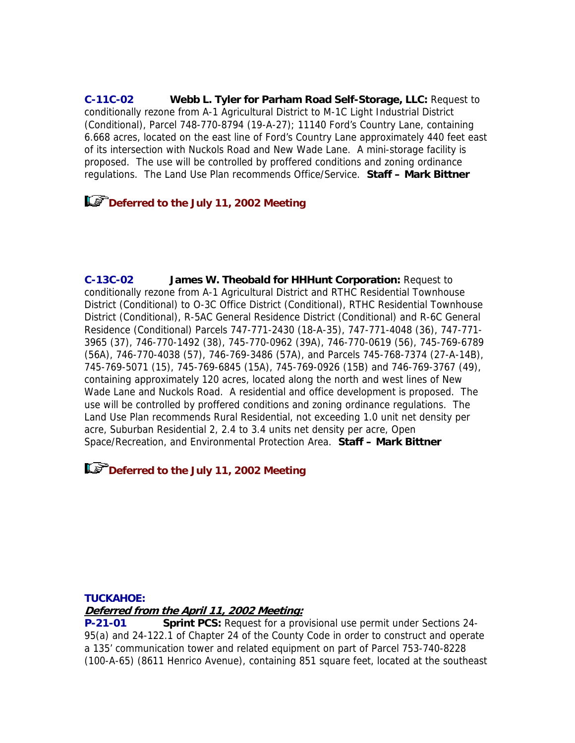**C-11C-02 Webb L. Tyler for Parham Road Self-Storage, LLC:** Request to conditionally rezone from A-1 Agricultural District to M-1C Light Industrial District (Conditional), Parcel 748-770-8794 (19-A-27); 11140 Ford's Country Lane, containing 6.668 acres, located on the east line of Ford's Country Lane approximately 440 feet east of its intersection with Nuckols Road and New Wade Lane. A mini-storage facility is proposed. The use will be controlled by proffered conditions and zoning ordinance regulations. The Land Use Plan recommends Office/Service. **Staff – Mark Bittner**

# **Deferred to the July 11, 2002 Meeting**

**C-13C-02 James W. Theobald for HHHunt Corporation:** Request to conditionally rezone from A-1 Agricultural District and RTHC Residential Townhouse District (Conditional) to O-3C Office District (Conditional), RTHC Residential Townhouse District (Conditional), R-5AC General Residence District (Conditional) and R-6C General Residence (Conditional) Parcels 747-771-2430 (18-A-35), 747-771-4048 (36), 747-771- 3965 (37), 746-770-1492 (38), 745-770-0962 (39A), 746-770-0619 (56), 745-769-6789 (56A), 746-770-4038 (57), 746-769-3486 (57A), and Parcels 745-768-7374 (27-A-14B), 745-769-5071 (15), 745-769-6845 (15A), 745-769-0926 (15B) and 746-769-3767 (49), containing approximately 120 acres, located along the north and west lines of New Wade Lane and Nuckols Road. A residential and office development is proposed. The use will be controlled by proffered conditions and zoning ordinance regulations. The Land Use Plan recommends Rural Residential, not exceeding 1.0 unit net density per acre, Suburban Residential 2, 2.4 to 3.4 units net density per acre, Open Space/Recreation, and Environmental Protection Area. **Staff – Mark Bittner**

## **Deferred to the July 11, 2002 Meeting**

### **TUCKAHOE:**

### **Deferred from the April 11, 2002 Meeting:**

**P-21-01 Sprint PCS:** Request for a provisional use permit under Sections 24- 95(a) and 24-122.1 of Chapter 24 of the County Code in order to construct and operate a 135' communication tower and related equipment on part of Parcel 753-740-8228 (100-A-65) (8611 Henrico Avenue), containing 851 square feet, located at the southeast